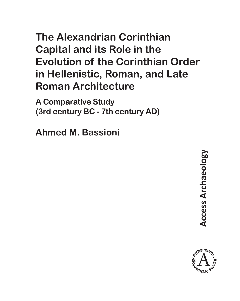# **The Alexandrian Corinthian Capital and its Role in the Evolution of the Corinthian Order in Hellenistic, Roman, and Late Roman Architecture**

**A Comparative Study (3rd century BC - 7th century AD)**

**Ahmed M. Bassioni**

**Access Archaeology Access Archaeology** 

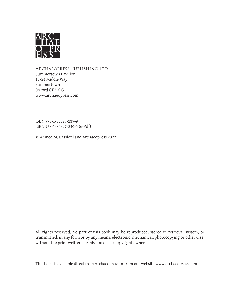

Archaeopress Publishing Ltd Summertown Pavilion 18-24 Middle Way Summertown Oxford OX2 7LG www.archaeopress.com

ISBN 978-1-80327-239-9 ISBN 978-1-80327-240-5 (e-Pdf)

© Ahmed M. Bassioni and Archaeopress 2022

All rights reserved. No part of this book may be reproduced, stored in retrieval system, or transmitted, in any form or by any means, electronic, mechanical, photocopying or otherwise, without the prior written permission of the copyright owners.

This book is available direct from Archaeopress or from our website www.archaeopress.com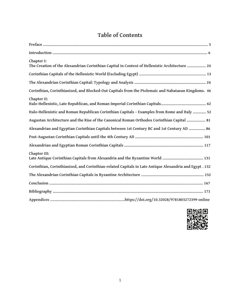## **Table of Contents**

| Chapter I:<br>The Creation of the Alexandrian Corinthian Capital in Context of Hellenistic Architecture  24 |
|-------------------------------------------------------------------------------------------------------------|
|                                                                                                             |
|                                                                                                             |
| Corinthian, Corinthianized, and Blocked-Out Capitals from the Ptolemaic and Nabataean Kingdoms. 46          |
| Chapter II:                                                                                                 |
| Italo-Hellenistic and Roman Republican Corinthian Capitals - Examples from Rome and Italy  52               |
| Augustan Architecture and the Rise of the Canonical Roman Orthodox Corinthian Capital  81                   |
| Alexandrian and Egyptian Corinthian Capitals between 1st Century BC and 1st Century AD  86                  |
|                                                                                                             |
|                                                                                                             |
| Chapter III:<br>Late Antique Corinthian Capitals from Alexandria and the Byzantine World  131               |
| Corinthian, Corinthianized, and Corinthian-related Capitals in Late Antique Alexandria and Egypt . 132      |
|                                                                                                             |
|                                                                                                             |
|                                                                                                             |
|                                                                                                             |

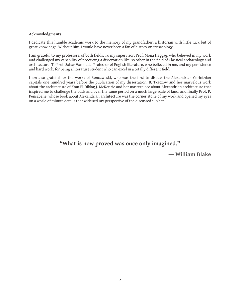#### **Acknowledgments**

I dedicate this humble academic work to the memory of my grandfather; a historian with little luck but of great knowledge. Without him, I would have never been a fan of history or archaeology.

I am grateful to my professors, of both fields. To my supervisor, Prof. Mona Haggag, who believed in my work and challenged my capability of producing a dissertation like no other in the field of Classical archaeology and architecture. To Prof. Sahar Hamouda, Professor of English literature, who believed in me, and my persistence and hard work, for being a literature student who can excel in a totally different field.

I am also grateful for the works of Ronczweski, who was the first to discuss the Alexandrian Corinthian capitals one hundred years before the publication of my dissertation; B. Tkaczow and her marvelous work about the architecture of Kom El-Dikka; J. McKenzie and her masterpiece about Alexandrian architecture that inspired me to challenge the odds and over the same period on a much large scale of land; and finally Prof. P. Pensabene, whose book about Alexandrian architecture was the corner stone of my work and opened my eyes on a world of minute details that widened my perspective of the discussed subject.

### **"What is now proved was once only imagined."**

ʊ **William Blake**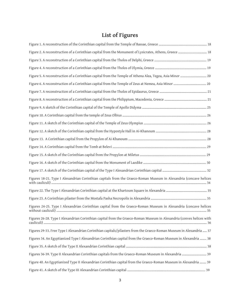# **List of Figures**

| Figure 2. A reconstruction of a Corinthian capital from the Monument of Lysicrates, Athens, Greece  18               |
|----------------------------------------------------------------------------------------------------------------------|
|                                                                                                                      |
|                                                                                                                      |
| Figure 5. A reconstruction of a Corinthian capital from the Temple of Athena Alea, Tegea, Asia Minor  20             |
|                                                                                                                      |
|                                                                                                                      |
|                                                                                                                      |
|                                                                                                                      |
|                                                                                                                      |
|                                                                                                                      |
|                                                                                                                      |
|                                                                                                                      |
|                                                                                                                      |
|                                                                                                                      |
|                                                                                                                      |
|                                                                                                                      |
| Figures 18-21. Type I Alexandrian Corinthian capitals from the Graeco-Roman Museum in Alexandria (concave helices    |
|                                                                                                                      |
|                                                                                                                      |
| Figures 24-25. Type I Alexandrian Corinthian capital from the Graeco-Roman Museum in Alexandria (concave helices     |
| Figures 26-28. Type I Alexandrian Corinthian capital from the Graeco-Roman Museum in Alexandria (conves helices with |
| Figures 29-33. Free Type I Alexandrian Corinthian capitals/pilasters from the Graeco-Roman Museum in Alexandria  37  |
| Figures 34. An Egyptianized Type I Alexandrian Corinthian capital from the Graeco-Roman Museum in Alexandria  38     |
|                                                                                                                      |
|                                                                                                                      |
| Figure 40. An Egyptianized Type II Alexandrian Corinthian capital from the Graeco-Roman Museum in Alexandria  39     |
|                                                                                                                      |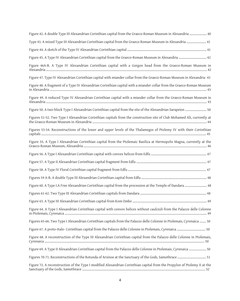| Figure 42. A double Type III Alexandrian Corinthian capital from the Graeco-Roman Museum in Alexandria  40               |
|--------------------------------------------------------------------------------------------------------------------------|
| Type 43. A mixed Type III Alexandrian Corinthian capital from the Graeco-Roman Museum in Alexandria  41                  |
|                                                                                                                          |
| Figure 45. A Type IV Alexandrian Corinthian capital from the Graeco-Roman Museum in Alexandria  42                       |
| Figure 46A-B. A Type IV Alexandrian Corinthian capital with a Gorgon head from the Graeco-Roman Museum in                |
| Figure 47. Type IV Alexandrian Corinthian capital with miander collar from the Graeco-Roman Museum in Alexandria 43      |
| Figure 48. A fragment of a Type IV Alexandrian Corinthian capital with a miander collar from the Graeco-Roman Museum     |
| Figure 49. A reduced Type IV Alexandrian Corinthian capital with a miander collar from the Graeco-Roman Museum in        |
| Figure 50. A two-block Type I Alexandrian Corinthian capital from the site of the Alexandrian Sarapeion  50              |
| Figures 51-52. Two Type I Alexandrian Corinthian capitals from the construction site of Club Mohamed Ali, currently at   |
| Figures 53-54. Reconstructions of the lower and upper levels of the Thalamegos of Ptolemy IV with their Corinthian       |
| Figure 55. A Type I Alexandrian Corinthian capital from the Ptolemaic Basilica at Hermopolis Magna, currently at the     |
|                                                                                                                          |
|                                                                                                                          |
|                                                                                                                          |
|                                                                                                                          |
| Figure 60. A Type I.A Free Alexandrian Corinthian capital from the procession at the Temple of Dandara  48               |
|                                                                                                                          |
|                                                                                                                          |
| Figure 64. A Type I Alexandrian Corinthian capital with convex helices without caulciuli from the Palazzo delle Colonne  |
| Figures 65-66. Two Type I Alexandrian Corinthian capitals from the Palazzo delle Colonne in Ptolemais, Cyrenaica  50     |
| Figure 67. A proto-Italo-Corinthian capital from the Palazzo delle Colonne in Ptolemais, Cyrenaica  50                   |
| Figure 68. A reconstruction of the Type III Alexandrian Corinthian capital from the Palazzo delle Colonne in Ptolemais,  |
| Figure 69. A Type II Alexandrian Corinthian capital from the Palazzo delle Colonne in Ptolemais, Cyrenaica  50           |
|                                                                                                                          |
| Figure 72. A reconstruction of the Type I modified Alexandrian Corinthian capital from the Propylon of Ptolemy II at the |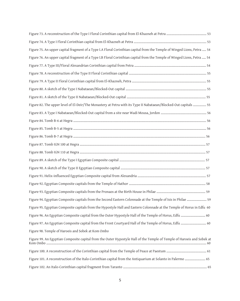| Figure 75. An upper capital fragment of a Type I.A Floral Corinthian capital from the Temple of Winged Lions, Petra  54 |
|-------------------------------------------------------------------------------------------------------------------------|
| Figure 76. An upper capital fragment of a Type I.B Floral Corinthian capital from the Temple of Winged Lions, Petra  54 |
|                                                                                                                         |
|                                                                                                                         |
|                                                                                                                         |
|                                                                                                                         |
|                                                                                                                         |
| Figure 82. The upper level of El-Deir/The Monastery at Petra with its Type II Nabataean/Blocked-Out capitals  55        |
|                                                                                                                         |
|                                                                                                                         |
|                                                                                                                         |
|                                                                                                                         |
|                                                                                                                         |
|                                                                                                                         |
|                                                                                                                         |
|                                                                                                                         |
|                                                                                                                         |
|                                                                                                                         |
|                                                                                                                         |
| Figure 94. Egyptian Composite capitals from the Second Eastern Colonnade at the Temple of Isis in Philae  59            |
| Figure 95. Egyptian Composite capitals from the Hypostyle Hall and Eastern Colonnade at the Temple of Horus in Edfu 60  |
| Figure 96. An Egyptian Composite capital from the Outer Hypostyle Hall of the Temple of Horus, Edfu  60                 |
| Figure 97. An Egyptian Composite capital from the Front Courtyard Hall of the Temple of Horus, Edfu  60                 |
| Figure 98. Temple of Haroeis and Sobek at Kom Ombo                                                                      |
| Figure 99. An Egyptian Composite capital from the Outer Hypostyle Hall of the Temple of Temple of Haroeis and Sobek at  |
|                                                                                                                         |
| Figure 101. A reconstruction of the Italo-Corinthian capital from the Antiquarium at Solanto in Palermo  65             |
|                                                                                                                         |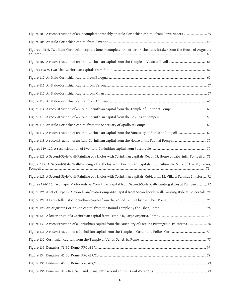| Figure 103. A reconstruction of an incomplete (probably an Italo-Corinthian capital) from Porta Nocera  65                |
|---------------------------------------------------------------------------------------------------------------------------|
|                                                                                                                           |
| Figures 105-6. Two Italo-Corinthian capitals (one incomplete, the other finished and intake) from the House of Augustus   |
|                                                                                                                           |
|                                                                                                                           |
|                                                                                                                           |
|                                                                                                                           |
|                                                                                                                           |
|                                                                                                                           |
|                                                                                                                           |
|                                                                                                                           |
|                                                                                                                           |
|                                                                                                                           |
|                                                                                                                           |
|                                                                                                                           |
| Figure 121. A Second-Style Wall-Painting of a tholos with Corinthian capitals, Oecus 43, House of Labyrinth, Pompeii  71  |
| Figure 122. A Second-Style Wall-Painting of a tholos with Corinthian capitals, Cubiculum 16, Villa of the Mysteries,      |
| Figure 123. A Second-Style Wall-Painting of a tholos with Corinthian capitals, Cubiculum M, Villa of Fannius Sinistor  72 |
| Figures 124-125. Two Type IV Alexandrian Corinthian capital from Second-Style Wall-Painting styles at Pompeii  72         |
| Figure 126. A set of Type IV Alexandrian/Proto-Composite capital from Second-Style Wall-Painting style at Boscoreale 72   |
|                                                                                                                           |
|                                                                                                                           |
|                                                                                                                           |
| Figure 130. A reconstruction of a Corinthian capital from the Sanctuary of Fortuna Pirimigenia, Palestrina  76            |
|                                                                                                                           |
|                                                                                                                           |
|                                                                                                                           |
|                                                                                                                           |
|                                                                                                                           |
|                                                                                                                           |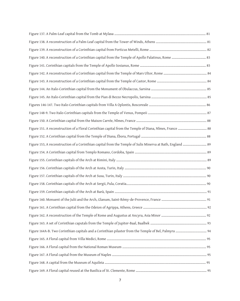| Figure 151. A reconstruction of a Floral Corinthian capital from the Temple of Diana, Nîmes, France  88    |  |
|------------------------------------------------------------------------------------------------------------|--|
|                                                                                                            |  |
| Figure 153, A reconstruction of a Corinthian capital from the Temple of Sulis Minerva at Bath, England  89 |  |
|                                                                                                            |  |
|                                                                                                            |  |
|                                                                                                            |  |
|                                                                                                            |  |
|                                                                                                            |  |
|                                                                                                            |  |
|                                                                                                            |  |
|                                                                                                            |  |
|                                                                                                            |  |
|                                                                                                            |  |
|                                                                                                            |  |
|                                                                                                            |  |
|                                                                                                            |  |
|                                                                                                            |  |
|                                                                                                            |  |
|                                                                                                            |  |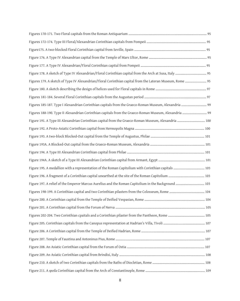| Figures 179. A sketch of Type IV Alexandrian/Floral Corinthian capital from the Lateran Museum, Rome  95 |
|----------------------------------------------------------------------------------------------------------|
|                                                                                                          |
|                                                                                                          |
| Figures 185-187. Type I Alexandrian Corinthian capitals from the Graeco-Roman Museum, Alexandria  99     |
| Figures 188-190. Type II Alexandrian Corinthian capitals from the Graeco-Roman Museum, Alexandria  99    |
| Figure 191. A Type III Alexandrian Corinthian capital from the Graeco-Roman Museum, Alexandria  100      |
|                                                                                                          |
|                                                                                                          |
|                                                                                                          |
|                                                                                                          |
|                                                                                                          |
|                                                                                                          |
|                                                                                                          |
|                                                                                                          |
|                                                                                                          |
|                                                                                                          |
|                                                                                                          |
|                                                                                                          |
|                                                                                                          |
|                                                                                                          |
|                                                                                                          |
|                                                                                                          |
|                                                                                                          |
|                                                                                                          |
|                                                                                                          |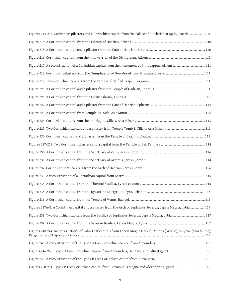| Figures 212-213. Corinthian pilasters and a Corinthian capital from the Palace of Diocletian at Split, Croatia  109     |  |
|-------------------------------------------------------------------------------------------------------------------------|--|
|                                                                                                                         |  |
|                                                                                                                         |  |
|                                                                                                                         |  |
|                                                                                                                         |  |
|                                                                                                                         |  |
|                                                                                                                         |  |
|                                                                                                                         |  |
|                                                                                                                         |  |
|                                                                                                                         |  |
|                                                                                                                         |  |
|                                                                                                                         |  |
|                                                                                                                         |  |
|                                                                                                                         |  |
|                                                                                                                         |  |
|                                                                                                                         |  |
|                                                                                                                         |  |
|                                                                                                                         |  |
|                                                                                                                         |  |
|                                                                                                                         |  |
|                                                                                                                         |  |
|                                                                                                                         |  |
| Figures 237A-B. A Corinthian capital and a pilaster from the Arch of Septimius Severus, Lepcis Magna, Lybia  117        |  |
|                                                                                                                         |  |
|                                                                                                                         |  |
| Figures 240-244. Reconstructions of Palm-Leaf capitals from Lepcis Magna (Lybia), Athens (Greece), Smyrna (Asia Minor), |  |
|                                                                                                                         |  |
|                                                                                                                         |  |
|                                                                                                                         |  |
|                                                                                                                         |  |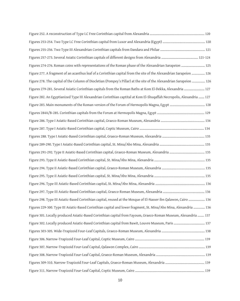| Figures 274-276. Roman coins with representations of the Roman phase of the Alexandrian Sarapeion  125               |
|----------------------------------------------------------------------------------------------------------------------|
| Figure 277. A fragment of an acanthus leaf of a Corinthian capital from the site of the Alexandrian Sarapeion  126   |
| Figure 278. The capital of the Column of Diocletian (Pompey's Pillar) at the site of the Alexandrian Sarapeion  126  |
| Figures 279-281. Several Asiatic Corinthian capitals from the Roman Baths at Kom El-Dekka, Alexandria  127           |
| Figure 282. An Egyptianized Type III Alexandrian Corinthian captital at Kom El-Shuqaffah Necropolis, Alexandria  127 |
|                                                                                                                      |
|                                                                                                                      |
|                                                                                                                      |
|                                                                                                                      |
|                                                                                                                      |
|                                                                                                                      |
|                                                                                                                      |
|                                                                                                                      |
|                                                                                                                      |
|                                                                                                                      |
|                                                                                                                      |
|                                                                                                                      |
| Figure 298. Type III Asiatic-Based Corinthian capital, reused at the Mosque of El-Nasser ibn Qalawon, Cairo  136     |
| Figures 229-300. Type III Asiatic-Based Corinthian capital and lower fragment, St. Mina/Abo Mina, Alexandria  136    |
| Figure 301. Locally produced Asiatic-Based Corinthian capital from Fayoum, Graeco-Roman Museum, Alexandria  137      |
|                                                                                                                      |
|                                                                                                                      |
|                                                                                                                      |
|                                                                                                                      |
|                                                                                                                      |
|                                                                                                                      |
|                                                                                                                      |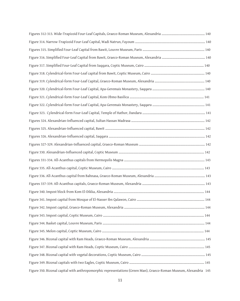| Figure 350. Bizonal capital with anthropomorphic representations (Green Man), Graeco-Roman Museum, Alexandria 145 |  |
|-------------------------------------------------------------------------------------------------------------------|--|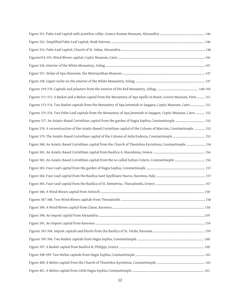| Figures 371-372. A Basket and a Melon capital from the Monastery of Apa Apollo in Bawit, Louvre Museum, Paris  151 |  |
|--------------------------------------------------------------------------------------------------------------------|--|
| Figures 373-374. Two Basket capitals from the Monastery of Apa Jeremiah in Saqqara, Coptic Museum, Cairo  151      |  |
| Figures 375-376. Two Palm-Leaf capitals from the Monastery of Apa Jeremiah in Saqqara, Coptic Museum, Cairo  152   |  |
| Figures 377. An Asiatic-Based Corinthian capital from the garden of Hagia Sophia, Constantinople  155              |  |
| Figure 378. A reconstruction of the Asiatic-Based Corinthian capital of the Column of Marcian, Constantinople  155 |  |
|                                                                                                                    |  |
| Figure 380. An Asiatic-Based Corinthian capital from the Church of Theotokos Kyriotissa, Constantinople  156       |  |
|                                                                                                                    |  |
|                                                                                                                    |  |
|                                                                                                                    |  |
|                                                                                                                    |  |
|                                                                                                                    |  |
|                                                                                                                    |  |
|                                                                                                                    |  |
|                                                                                                                    |  |
|                                                                                                                    |  |
|                                                                                                                    |  |
|                                                                                                                    |  |
|                                                                                                                    |  |
|                                                                                                                    |  |
|                                                                                                                    |  |
|                                                                                                                    |  |
|                                                                                                                    |  |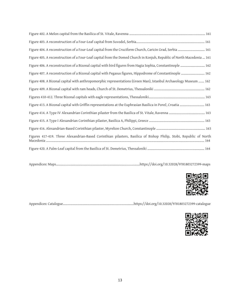| Figure 404. A reconstruction of a Four-Leaf capital from the Cruciform Church, Caricin Grad, Serbia  161              |
|-----------------------------------------------------------------------------------------------------------------------|
| Figure 405. A reconstruction of a Four-Leaf capital from the Domed Church in Konjuh, Republic of North Macedonia  161 |
| Figure 406. A reconstruction of a Bizonal capital with bird figures from Hagia Sophia, Constantinople  162            |
| Figure 407. A reconstruction of a Bizonal capital with Pegasus figures, Hippodrome of Constantinople  162             |
| Figure 408. A Bizonal capital with anthropomorphic representations (Green Man), Istanbul Archaeology Museum  162      |
|                                                                                                                       |
|                                                                                                                       |
| Figure 413. A Bizonal capital with Griffin representations at the Euphrasian Basilica in Poreč, Croatia  163          |
|                                                                                                                       |
|                                                                                                                       |
|                                                                                                                       |
| Figures 417-419. Three Alexandrian-Based Corinthian pilasters, Basilica of Bishop Philip, Stobi, Republic of North    |
|                                                                                                                       |

Appendices: Maps………………………………………………………………………………………….https://doi.org/10.32028/9781803272399-maps



Appendices: Catalogue……………………………………………………………………………https://doi.org/10.32028/9781803272399-catalogue

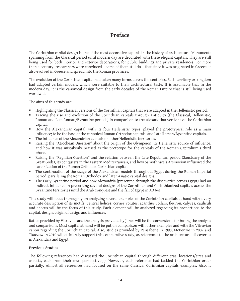## **Preface**

The Corinthian capital design is one of the most decorative capitals in the history of architecture. Monuments spanning from the Classical period until modern day are decorated with these elegant capitals. They are still being used for both interior and exterior decorations, for public buildings and private residences. For more than a century, researchers were convinced – some of them still do – that since it was originated in Greece, it also evolved in Greece and spread into the Roman provinces.

The evolution of the Corinthian capital had taken many forms across the centuries. Each territory or kingdom had adapted certain models, which were suitable to their architectural taste. It is assumable that in the modern day, it is the canonical design from the early decades of the Roman Empire that is still being used worldwide.

The aims of this study are:

- Highlighting the Classical versions of the Corinthian capitals that were adapted in the Hellenistic period.
- Tracing the rise and evolution of the Corinthian capitals through Antiquity (the Classical, Hellenistic, Roman and Late Roman/Byzantine periods) in comparison to the Alexandrian versions of the Corinthian capital.
- How the Alexandrian capital, with its four Hellenistic types, played the prototypical role as a main influence; to be the base of the canonical Roman Orthodox capitals, and Late Roman/Byzantine capitals.
- The influence of the Alexandrian capitals on other Hellenistic territories.
- Raising the "Atiochean Question" about the origin of the Olympeion, its Hellenistic source of influence, and how it was mistakenly praised as the prototype for the capitals of the Roman Capitolium's third phase.
- Raising the "Regillian Question" and the relation between the Late Republican period (Sanctuary of the Great Gods), its conquests in the Eastern Mediterranean, and how Samothrace's Arsinoeion influenced the canonization of the Roman Orthodox Corinthian capital.
- The continuation of the usage of the Alexandrian models throughout Egypt during the Roman Imperial period, paralleling the Roman Orthodox and later Asiatic capital designs.
- The Early Byzantine period and how Alexandria (presented through the discoveries across Egypt) had an indirect influence in presenting several designs of the Corinthian and Corinthianized capitals across the Byzantine territories until the Arab Conquest and the fall of Egypt in AD 641.

This study will focus thoroughly on analyzing several examples of the Corinthian capitals at hand with a very accurate description of its motifs. Central helices, corner volutes, acanthus collars, fleuron, calyces, cauliculi and abacus will be the focus of this study. Each element will be analyzed regarding its proportions to the capital, design, origin of design and influences.

Ratios provided by Vitruvius and the analysis provided by Jones will be the cornerstone for basing the analysis and comparisons. Most capital at hand will be put on comparison with other examples and with the Vitruvian canon regarding the Corinthian capital. Also, studies provided by Pensabene in 1993, McKenzie in 2007 and Tkaczow in 2010 will efficiently support this comparative study, as references to the architectural discoveries in Alexandria and Egypt.

#### **Previous Studies**

The following references had discussed the Corinthian capital through different eras, locations/sites and aspects, each from their own perspective(s). However, each reference had tackled the Corinthian order partially. Almost all references had focused on the same Classical Corinthian capitals examples. Also, it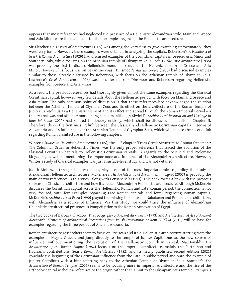appears that most references had neglected the presence of a Hellenistic Alexandrian style. Mainland Greece and Asia Minor were the main focus for their examples regarding the Hellenistic architecture.

Sir Fletcher's *A History of Architecture* (1905) was among the very first to give examples; unfortunately, they were very basic. However, these examples were detailed in analyzing the capitals. Robertson's *A Handbook of Greek & Roman Architecture* (1929) had discussed examples of the Corinthian capitals in Greece, Asia Minor and Southern Italy, while focusing on the Athenian temple of Olympian Zeus. Fyfe's *Hellenistic Architecture* (1936) was probably the first to discuss Hellenistic monuments outside the Hellenic domain of Greece and Asia Minor. However, his focus was on Levantine coast. Dinsmoor's *Ancient Greece* (1950) had discussed examples similar to those already discussed by Robertson, with focus on the Athenian temple of Olympian Zeus. Lawrence's *Greek Architecture* (1996) was no different from Dinsmoor and Robertson regarding Hellenistic examples from Greece and Asia Minor.

As a result, the previous references had thoroughly given almost the same examples regarding the Classical Corinthian capital; however, very few details about the Hellenistic period, with focus on Mainland Greece and Asia Minor. The only common point of discussion is that these references had acknowledged the relation between the Athenian temple of Olympian Zeus and its effect on the architecture of the Roman temple of Jupiter Capitolinus as a Hellenistic element and its effect and spread through the Roman Imperial Period – a theory that was and still common among scholars, although Siwicki's *Architectural Restoration and Heritage in Imperial Rome* (2020) had refuted the theory entirely, which shall be discussed in details in Chapter II. Therefore, this is the first missing link between the Classical and Hellenistic Corinthian capitals in terms of Alexandria and its influence over the Athenian Temple of Olympian Zeus, which will lead to the second link regarding Roman architecture in the following chapters.

Winter's *Studies in Hellenistic Architecture* (2005), the 11th chapter 'From Greek Structure to Roman Ornament: The Columnar Order in Hellenistic Times' was the only proper reference that traced the evolution of the Classical Corinthian capitals to Hellenistic Corinthian capitals in regards to the Seleucid and Ptolemaic kingdoms, as well as mentioning the importance and influence of the Alexandrian architecture. However, Winter's study of Classical examples was just a surface-level study and was not detailed.

Judith Mckenzie, through her two books, played one of the most important roles regarding the study of Alexandrian Hellenistic architecture. Mckenzie's *The Architecture of Alexandria and Egypt* (2007) is probably the main of two references in this study, along with Pensabene's (1993). This book forms a link with the previous sources on Classical architecture and how it affected Alexandrian Hellenistic architecture. Although McKenzie discusses the Corinthian capital across the Hellenistic, Roman and Late Roman period, the connection is not very focused, with few examples regarding Late Roman capitals and fewer regarding Roman capitals. McKenzie's *Architecture of Petra* (1990) played the missing link between Nabataean and Pompeian architecture, with Alexandria as a source of Influence. Via this study, we could trace the influence of Alexandrian Hellenistic architectural presence in Pompeii prior to the Roman Annexation of Egypt.

The two books of Barbara Tkaczow: *The Topography of Ancient Alexandria* (1993) and *Architectural Styles of Ancient Alexandria: Elements of Architectural Decorations from Polish Excavatinos at Kom El-Dikka* (2010) will be base for examples regarding the three periods of Ancient Alexandria.

Roman architecture researchers seem to focus on Etruscan and Italo-Hellenistic architecture starting from the examples in Magna Graecia and jump directly to the temple of Jupiter Capitolinus as the new source of influence, without mentioning the evolution of the Hellenistic Corinthian capital. MacDonald's *The Architecture of the Roman Empire* (1982) focuses on the imperial architecture, mainly the Parthenon and Hadrian's contributions. Sear's *Roman Architecture* (1982) and its newly published second edition (2021) conclude the beginning of the Corinthian influence from the Late Republic period and onto the example of Jupiter Caitolinus with a hint referring back to the Athenian Temple of Olympian Zeus. Stamper's *The Architecture of Roman Temples* (2005) seems to be focusing more in Imperial Architecture and the rise of the Orthodox capital without a reference to the origin rather than a hint to the Olympian Zeus temple. Stamper's